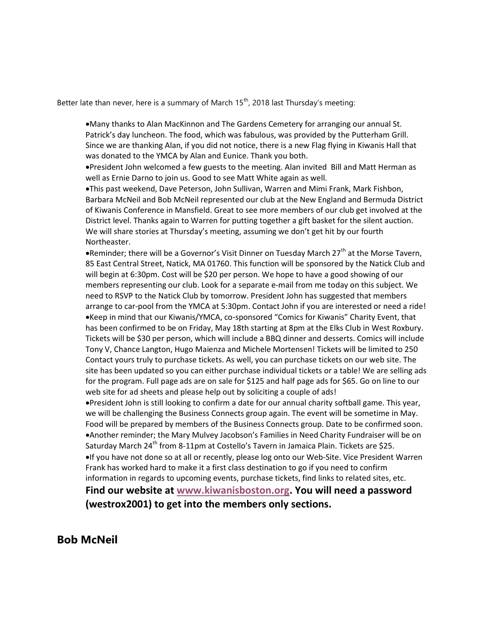Better late than never, here is a summary of March  $15<sup>th</sup>$ , 2018 last Thursday's meeting:

Many thanks to Alan MacKinnon and The Gardens Cemetery for arranging our annual St. Patrick's day luncheon. The food, which was fabulous, was provided by the Putterham Grill. Since we are thanking Alan, if you did not notice, there is a new Flag flying in Kiwanis Hall that was donated to the YMCA by Alan and Eunice. Thank you both.

President John welcomed a few guests to the meeting. Alan invited Bill and Matt Herman as well as Ernie Darno to join us. Good to see Matt White again as well.

This past weekend, Dave Peterson, John Sullivan, Warren and Mimi Frank, Mark Fishbon, Barbara McNeil and Bob McNeil represented our club at the New England and Bermuda District of Kiwanis Conference in Mansfield. Great to see more members of our club get involved at the District level. Thanks again to Warren for putting together a gift basket for the silent auction. We will share stories at Thursday's meeting, assuming we don't get hit by our fourth Northeaster.

. Reminder; there will be a Governor's Visit Dinner on Tuesday March 27<sup>th</sup> at the Morse Tavern, 85 East Central Street, Natick, MA 01760. This function will be sponsored by the Natick Club and will begin at 6:30pm. Cost will be \$20 per person. We hope to have a good showing of our members representing our club. Look for a separate e-mail from me today on this subject. We need to RSVP to the Natick Club by tomorrow. President John has suggested that members arrange to car-pool from the YMCA at 5:30pm. Contact John if you are interested or need a ride! Keep in mind that our Kiwanis/YMCA, co-sponsored "Comics for Kiwanis" Charity Event, that has been confirmed to be on Friday, May 18th starting at 8pm at the Elks Club in West Roxbury. Tickets will be \$30 per person, which will include a BBQ dinner and desserts. Comics will include Tony V, Chance Langton, Hugo Maienza and Michele Mortensen! Tickets will be limited to 250 Contact yours truly to purchase tickets. As well, you can purchase tickets on our web site. The site has been updated so you can either purchase individual tickets or a table! We are selling ads for the program. Full page ads are on sale for \$125 and half page ads for \$65. Go on line to our web site for ad sheets and please help out by soliciting a couple of ads!

President John is still looking to confirm a date for our annual charity softball game. This year, we will be challenging the Business Connects group again. The event will be sometime in May. Food will be prepared by members of the Business Connects group. Date to be confirmed soon. Another reminder; the Mary Mulvey Jacobson's Families in Need Charity Fundraiser will be on Saturday March 24<sup>th</sup> from 8-11pm at Costello's Tavern in Jamaica Plain. Tickets are \$25. If you have not done so at all or recently, please log onto our Web-Site. Vice President Warren Frank has worked hard to make it a first class destination to go if you need to confirm information in regards to upcoming events, purchase tickets, find links to related sites, etc.

Find our website at www.kiwanisboston.org. You will need a password (westrox2001) to get into the members only sections.

## Bob McNeil